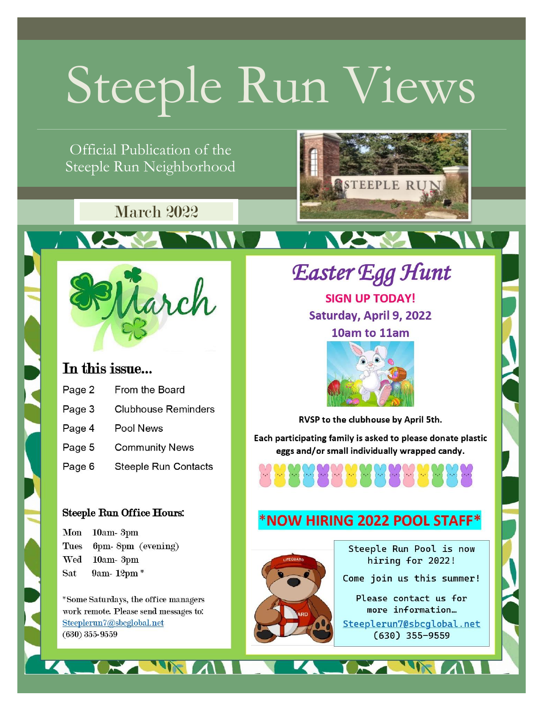# Steeple Run Views

Official Publication of the Steeple Run Neighborhood

## **March 2022**



**ANY** 

### In this issue...

| Page 2 | From the Board              |
|--------|-----------------------------|
| Page 3 | <b>Clubhouse Reminders</b>  |
| Page 4 | Pool News                   |
| Page 5 | <b>Community News</b>       |
| Page 6 | <b>Steeple Run Contacts</b> |

#### **Steeple Run Office Hours:**

Mon 10am-3pm 6pm-8pm (evening) Tues Wed 10am-3pm Sat 9am-12pm\*

\*Some Saturdays, the office managers work remote. Please send messages to: Steeplerun7@sbcglobal.net  $(630)$  355-9559

**Easter Egg Hunt SIGN UP TODAY!** Saturday, April 9, 2022 10am to 11am



RVSP to the clubhouse by April 5th.

Each participating family is asked to please donate plastic eggs and/or small individually wrapped candy.



### \*NOW HIRING 2022 POOL STAFF\*



Steeple Run Pool is now hiring for 2022!

Come join us this summer!

Please contact us for more information... Steeplerun7@sbcglobal.net  $(630)$  355-9559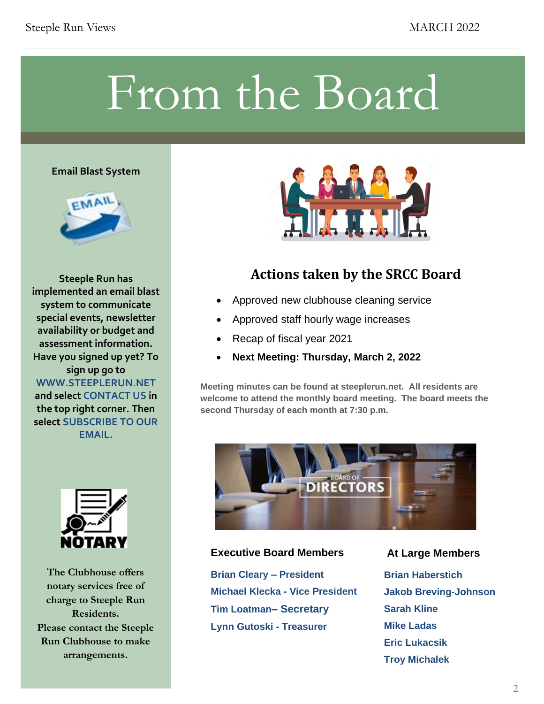## From the Board

#### **Email Blast System**



**Steeple Run has implemented an email blast system to communicate special events, newsletter availability or budget and assessment information. Have you signed up yet? To sign up go to WWW.STEEPLERUN.NET and select CONTACT US in the top right corner. Then select SUBSCRIBE TO OUR EMAIL.**



**The Clubhouse offers notary services free of charge to Steeple Run Residents. Please contact the Steeple Run Clubhouse to make arrangements.**



### **Actions taken by the SRCC Board**

- Approved new clubhouse cleaning service
- Approved staff hourly wage increases
- Recap of fiscal year 2021
- **Next Meeting: Thursday, March 2, 2022**

**Meeting minutes can be found at steeplerun.net. All residents are welcome to attend the monthly board meeting. The board meets the second Thursday of each month at 7:30 p.m.**



#### **Executive Board Members At Large Members**

**Brian Cleary – President Michael Klecka - Vice President Tim Loatman– Secretary Lynn Gutoski - Treasurer**

**Brian Haberstich Jakob Breving-Johnson Sarah Kline Mike Ladas Eric Lukacsik Troy Michalek**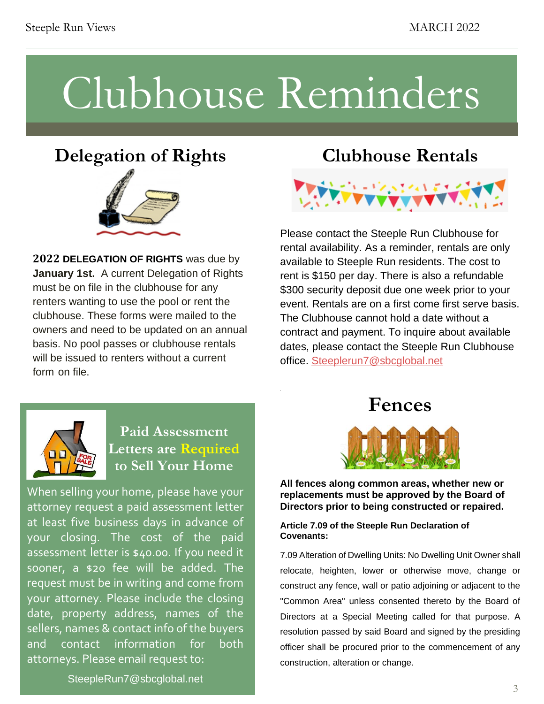## Clubhouse Reminders

.

## **Delegation of Rights**



**2022 DELEGATION OF RIGHTS** was due by **January 1st.** A current Delegation of Rights must be on file in the clubhouse for any renters wanting to use the pool or rent the clubhouse. These forms were mailed to the owners and need to be updated on an annual basis. No pool passes or clubhouse rentals will be issued to renters without a current form on file.

## **Clubhouse Rentals**



Please contact the Steeple Run Clubhouse for rental availability. As a reminder, rentals are only available to Steeple Run residents. The cost to rent is \$150 per day. There is also a refundable \$300 security deposit due one week prior to your event. Rentals are on a first come first serve basis. The Clubhouse cannot hold a date without a contract and payment. To inquire about available dates, please contact the Steeple Run Clubhouse office. [Steeplerun7@sbcglobal.net](mailto:Steeplerun7@sbcglobal.net)



#### **Paid Assessment Letters are Required to Sell Your Home**

When selling your home, please have your attorney request a paid assessment letter at least five business days in advance of your closing. The cost of the paid assessment letter is \$40.00. If you need it sooner, a \$20 fee will be added. The request must be in writing and come from your attorney. Please include the closing date, property address, names of the sellers, names & contact info of the buyers and contact information for both attorneys. Please email request to:





**P All fences along common areas, whether new or replacements must be approved by the Board of Directors prior to being constructed or repaired.** 

#### **Article 7.09 of the Steeple Run Declaration of Covenants:**

7.09 Alteration of Dwelling Units: No<br>relocate, heighten, lower or other<br>construct any fonce wall or natio a "Common Area" u<br>Directors at a Sp<br>resolution passed 7.09 Alteration of Dwelling Units: No Dwelling Unit Owner shall relocate, heighten, lower or otherwise move, change or construct any fence, wall or patio adjoining or adjacent to the "Common Area" unless consented thereto by the Board of Directors at a Special Meeting called for that purpose. A resolution passed by said Board and signed by the presiding officer shall be procured prior to the commencement of any construction, alteration or change.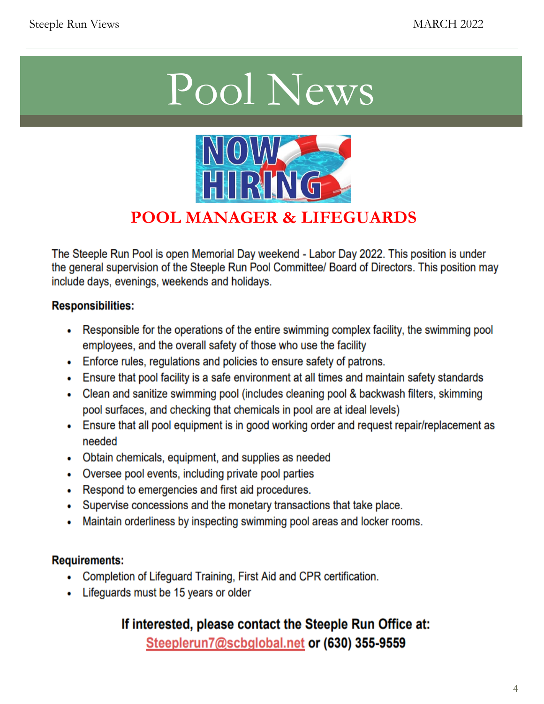## Pool News



### **POOL MANAGER & LIFEGUARDS**

The Steeple Run Pool is open Memorial Day weekend - Labor Day 2022. This position is under the general supervision of the Steeple Run Pool Committee/ Board of Directors. This position may include days, evenings, weekends and holidays.

#### **Responsibilities:**

- Responsible for the operations of the entire swimming complex facility, the swimming pool employees, and the overall safety of those who use the facility
- Enforce rules, regulations and policies to ensure safety of patrons.
- Ensure that pool facility is a safe environment at all times and maintain safety standards
- Clean and sanitize swimming pool (includes cleaning pool & backwash filters, skimming pool surfaces, and checking that chemicals in pool are at ideal levels)
- Ensure that all pool equipment is in good working order and request repair/replacement as needed
- Obtain chemicals, equipment, and supplies as needed
- Oversee pool events, including private pool parties
- Respond to emergencies and first aid procedures.
- Supervise concessions and the monetary transactions that take place.
- Maintain orderliness by inspecting swimming pool areas and locker rooms.  $\bullet$

#### **Requirements:**

- Completion of Lifeguard Training, First Aid and CPR certification.
- Lifeguards must be 15 years or older

### If interested, please contact the Steeple Run Office at:

Steeplerun7@scbglobal.net or (630) 355-9559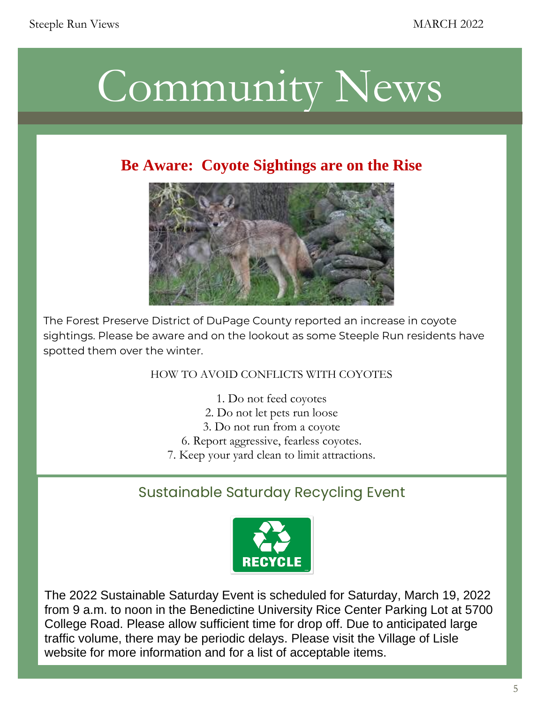

### **Be Aware: Coyote Sightings are on the Rise**



 $\frac{1}{\sqrt{2}}$  sightings. Please be aware and on the lookout as some Steeple Run residents have weekends from 12-8pm. 12-8pm. 12-8pm. 12-8pm. 12-8pm. 12-8pm. 12-8pm. 12-8pm. 12-8pm. 12-8pm. 12-8pm. 12-8pm. 12-8pm. 12-8pm. 12-8pm. 12-8pm. 12-8pm. 12-8pm. 12-8pm. 12-8pm. 12-8pm. 12-8pm. 12-8pm. 12-8pm. 12-8pm. 12-8pm. The Forest Preserve District of DuPage County reported an increase in coyote spotted them over the winter.

#### HOW TO AVOID CONFLICTS WITH COYOTES

- $T_{\rm eff}$  will consider for the season on  $L$ 1. Do not feed coyotes
	- 2. Do not let pets run loose
	- . 3. Do not run from a coyote
	- 6. Report aggressive, fearless coyotes.
	- 7. Keep your yard clean to limit attractions.

#### Sustainable Saturday Recycling Event



The 2022 Sustainable Saturday Event is scheduled for Saturday, March 19, 2022 from 9 a.m. to noon in the Benedictine University Rice Center Parking Lot at 5700 College Road. Please allow sufficient time for drop off. Due to anticipated large traffic volume, there may be periodic delays. Please visit the Village of Lisle website for more information and for a list of acceptable items.